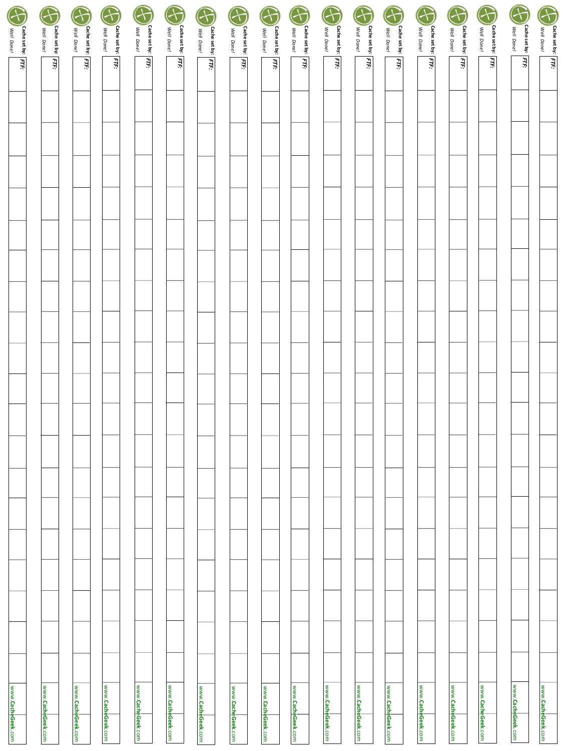|                                  | F                                | $\bigoplus$                      | $\bigodot$                       | G                                | $\bigoplus$                      | $\bigoplus$                      | $\mathcal{F}$                    | F                                | $\bigoplus$                      | $\bigoplus$                      | G                                | $\bigoplus$                      | G                           | $\bigoplus$                      | $\bigoplus$                      | F                           | Cocheset by: FIFF:<br>C Well Done! |
|----------------------------------|----------------------------------|----------------------------------|----------------------------------|----------------------------------|----------------------------------|----------------------------------|----------------------------------|----------------------------------|----------------------------------|----------------------------------|----------------------------------|----------------------------------|-----------------------------|----------------------------------|----------------------------------|-----------------------------|------------------------------------|
| Cache set by: FTF:<br>Well Done! | Cache set by: FTF:<br>Well Done! | Cache set by: FTF:<br>Well Done! | Well Donel<br>Cache set by: FTF: | Cache set by: FTF:<br>Well Done! | Cache set by: FTF:<br>Well Done! | Cache set by: FTF:<br>Well Done! | Cache set by: FTF:<br>Well Dane! | Cache set by: FTF:<br>Well Done! | Cache set by: FTF:<br>Well Done! | Cache set by: FTF:<br>Well Done! | Cache set by: FTF:<br>Well Done! | Cache set by: FTF:<br>Well Done! | Cache set by:<br>Well Done! | Cache set by: FTF:<br>Well Donel | Cache set by: FTF:<br>Well Done! | Cache set by:<br>Well Done! |                                    |
|                                  |                                  |                                  |                                  |                                  |                                  |                                  |                                  |                                  |                                  |                                  |                                  |                                  | E                           |                                  |                                  | $\overline{F}$              |                                    |
|                                  |                                  |                                  |                                  |                                  |                                  |                                  |                                  |                                  |                                  |                                  |                                  |                                  |                             |                                  |                                  |                             |                                    |
|                                  |                                  |                                  |                                  |                                  |                                  |                                  |                                  |                                  |                                  |                                  |                                  |                                  |                             |                                  |                                  |                             |                                    |
|                                  |                                  |                                  |                                  |                                  |                                  |                                  |                                  |                                  |                                  |                                  |                                  |                                  |                             |                                  |                                  |                             |                                    |
|                                  |                                  |                                  |                                  |                                  |                                  |                                  |                                  |                                  |                                  |                                  |                                  |                                  |                             |                                  |                                  |                             |                                    |
|                                  |                                  |                                  |                                  |                                  |                                  |                                  |                                  |                                  |                                  |                                  |                                  |                                  |                             |                                  |                                  |                             |                                    |
|                                  |                                  |                                  |                                  |                                  |                                  |                                  |                                  |                                  |                                  |                                  |                                  |                                  |                             |                                  |                                  |                             |                                    |
|                                  |                                  |                                  |                                  |                                  |                                  |                                  |                                  |                                  |                                  |                                  |                                  |                                  |                             |                                  |                                  |                             |                                    |
|                                  |                                  |                                  |                                  |                                  |                                  |                                  |                                  |                                  |                                  |                                  |                                  |                                  |                             |                                  |                                  |                             |                                    |
|                                  |                                  |                                  |                                  |                                  |                                  |                                  |                                  |                                  |                                  |                                  |                                  |                                  |                             |                                  |                                  |                             |                                    |
|                                  |                                  |                                  |                                  |                                  |                                  |                                  |                                  |                                  |                                  |                                  |                                  |                                  |                             |                                  |                                  |                             |                                    |
|                                  |                                  |                                  |                                  |                                  |                                  |                                  |                                  |                                  |                                  |                                  |                                  |                                  |                             |                                  |                                  |                             |                                    |
|                                  |                                  |                                  |                                  |                                  |                                  |                                  |                                  |                                  |                                  |                                  |                                  |                                  |                             |                                  |                                  |                             |                                    |
|                                  |                                  |                                  |                                  |                                  |                                  |                                  |                                  |                                  |                                  |                                  |                                  |                                  |                             |                                  |                                  |                             |                                    |
|                                  |                                  |                                  |                                  |                                  |                                  |                                  |                                  |                                  |                                  |                                  |                                  |                                  |                             |                                  |                                  |                             |                                    |
|                                  |                                  |                                  |                                  |                                  |                                  |                                  |                                  |                                  |                                  |                                  |                                  |                                  |                             |                                  |                                  |                             |                                    |
|                                  |                                  |                                  |                                  |                                  |                                  |                                  |                                  |                                  |                                  |                                  |                                  |                                  |                             |                                  |                                  |                             |                                    |
|                                  |                                  |                                  |                                  |                                  |                                  |                                  |                                  |                                  |                                  |                                  |                                  |                                  |                             |                                  |                                  |                             |                                    |
|                                  |                                  |                                  |                                  |                                  |                                  |                                  |                                  |                                  |                                  |                                  |                                  |                                  |                             |                                  |                                  |                             |                                    |
|                                  |                                  |                                  |                                  |                                  |                                  |                                  |                                  |                                  |                                  |                                  |                                  |                                  |                             |                                  |                                  |                             |                                    |
|                                  |                                  |                                  |                                  |                                  |                                  |                                  |                                  |                                  |                                  |                                  |                                  |                                  |                             |                                  |                                  |                             |                                    |
|                                  |                                  |                                  |                                  |                                  |                                  |                                  |                                  |                                  |                                  |                                  |                                  |                                  |                             |                                  |                                  |                             |                                    |
|                                  |                                  |                                  |                                  |                                  |                                  |                                  |                                  |                                  |                                  |                                  |                                  |                                  |                             |                                  |                                  |                             |                                    |
|                                  |                                  |                                  |                                  |                                  |                                  |                                  |                                  |                                  |                                  |                                  |                                  |                                  |                             |                                  |                                  |                             |                                    |
|                                  |                                  |                                  |                                  |                                  |                                  |                                  |                                  |                                  |                                  |                                  |                                  |                                  |                             |                                  |                                  |                             |                                    |
|                                  |                                  |                                  |                                  |                                  |                                  |                                  |                                  |                                  |                                  |                                  |                                  |                                  |                             |                                  |                                  |                             |                                    |
|                                  |                                  |                                  |                                  |                                  |                                  |                                  |                                  |                                  |                                  |                                  |                                  |                                  |                             |                                  |                                  |                             |                                    |
|                                  |                                  |                                  |                                  |                                  |                                  |                                  |                                  |                                  |                                  |                                  |                                  |                                  |                             |                                  |                                  | www.CacheGeek.com           | www.CacheGeek.com                  |
| www.CacheGeek.com                | www.CacheGeek.com                | www.CacheGeek.com                | www.CacheGeek.com                | www.CacheGeek.com                | www.CacheGeek.com                | www.CacheGeek.com                | www.CacheGeek.com                | www.CacheGeek.com                | www.CacheGeek.com                | www.CacheGeek.com                | www.CacheGeek.com                | www.CacheGeek.com                | www.CacheGeek.com           | www.CacheGeek.com                | www.CacheGeek.com                |                             |                                    |
|                                  |                                  |                                  |                                  |                                  |                                  |                                  |                                  |                                  |                                  |                                  |                                  |                                  |                             |                                  |                                  |                             |                                    |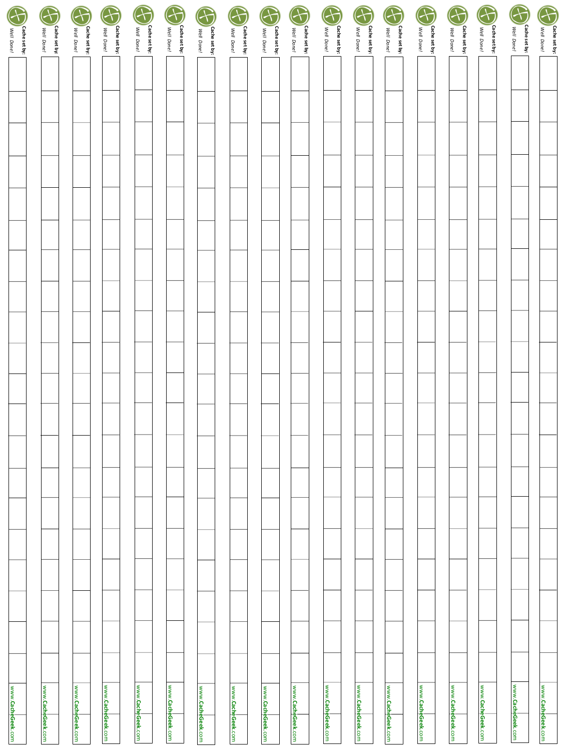|                                       | F                           | G                           | $\bigoplus$                 | $\bigodot$                  | $\bigodot$                  | $\bigodot$                  | $\bigodot$                  | G                           | G                           | G                           | $\bigodot$                  | $\bigodot$                  | $\bigodot$                  | $\bigoplus$                 | $\bigoplus$                 | $\bigodot$                  |                                             |
|---------------------------------------|-----------------------------|-----------------------------|-----------------------------|-----------------------------|-----------------------------|-----------------------------|-----------------------------|-----------------------------|-----------------------------|-----------------------------|-----------------------------|-----------------------------|-----------------------------|-----------------------------|-----------------------------|-----------------------------|---------------------------------------------|
| <b>CD</b> Well Done!<br>Cache set by: | Cache set by:<br>Well Done! | Cache set by:<br>Well Done! | Cache set by:<br>Well Donel | Cache set by:<br>Well Donel | Cache set by:<br>Well Done! | Cache set by:<br>Well Done! | Cache set by:<br>Well Done! | Cache set by:<br>Well Done! | Cache set by:<br>Well Done! | Cache set by:<br>Well Done! | Cache set by:<br>Well Done! | Cache set by:<br>Well Done! | Cache set by:<br>Well Done! | Cache set by:<br>Well Done! | Cache set by:<br>Well Done! | Cache set by:<br>Well Done! | $\bigoplus_{\text{weak real}}$ (year Done / |
|                                       |                             |                             |                             |                             |                             |                             |                             |                             |                             |                             |                             |                             |                             |                             |                             |                             |                                             |
|                                       |                             |                             |                             |                             |                             |                             |                             |                             |                             |                             |                             |                             |                             |                             |                             |                             |                                             |
|                                       |                             |                             |                             |                             |                             |                             |                             |                             |                             |                             |                             |                             |                             |                             |                             |                             |                                             |
|                                       |                             |                             |                             |                             |                             |                             |                             |                             |                             |                             |                             |                             |                             |                             |                             |                             |                                             |
|                                       |                             |                             |                             |                             |                             |                             |                             |                             |                             |                             |                             |                             |                             |                             |                             |                             |                                             |
|                                       |                             |                             |                             |                             |                             |                             |                             |                             |                             |                             |                             |                             |                             |                             |                             |                             |                                             |
|                                       |                             |                             |                             |                             |                             |                             |                             |                             |                             |                             |                             |                             |                             |                             |                             |                             |                                             |
|                                       |                             |                             |                             |                             |                             |                             |                             |                             |                             |                             |                             |                             |                             |                             |                             |                             |                                             |
|                                       |                             |                             |                             |                             |                             |                             |                             |                             |                             |                             |                             |                             |                             |                             |                             |                             |                                             |
|                                       |                             |                             |                             |                             |                             |                             |                             |                             |                             |                             |                             |                             |                             |                             |                             |                             |                                             |
|                                       |                             |                             |                             |                             |                             |                             |                             |                             |                             |                             |                             |                             |                             |                             |                             |                             |                                             |
|                                       |                             |                             |                             |                             |                             |                             |                             |                             |                             |                             |                             |                             |                             |                             |                             |                             |                                             |
|                                       |                             |                             |                             |                             |                             |                             |                             |                             |                             |                             |                             |                             |                             |                             |                             |                             |                                             |
|                                       |                             |                             |                             |                             |                             |                             |                             |                             |                             |                             |                             |                             |                             |                             |                             |                             |                                             |
|                                       |                             |                             |                             |                             |                             |                             |                             |                             |                             |                             |                             |                             |                             |                             |                             |                             |                                             |
|                                       |                             |                             |                             |                             |                             |                             |                             |                             |                             |                             |                             |                             |                             |                             |                             |                             |                                             |
|                                       |                             |                             |                             |                             |                             |                             |                             |                             |                             |                             |                             |                             |                             |                             |                             |                             |                                             |
|                                       |                             |                             |                             |                             |                             |                             |                             |                             |                             |                             |                             |                             |                             |                             |                             |                             |                                             |
|                                       |                             |                             |                             |                             |                             |                             |                             |                             |                             |                             |                             |                             |                             |                             |                             |                             |                                             |
|                                       |                             |                             |                             |                             |                             |                             |                             |                             |                             |                             |                             |                             |                             |                             |                             |                             |                                             |
|                                       |                             |                             |                             |                             |                             |                             |                             |                             |                             |                             |                             |                             |                             |                             |                             |                             |                                             |
|                                       |                             |                             |                             |                             |                             |                             |                             |                             |                             |                             |                             |                             |                             |                             |                             |                             |                                             |
|                                       |                             |                             |                             |                             |                             |                             |                             |                             |                             |                             |                             |                             |                             |                             |                             |                             |                                             |
|                                       |                             |                             |                             |                             |                             |                             |                             |                             |                             |                             |                             |                             |                             |                             |                             |                             |                                             |
|                                       |                             |                             |                             |                             |                             |                             |                             |                             |                             |                             |                             |                             |                             |                             |                             |                             |                                             |
|                                       |                             |                             |                             |                             |                             |                             |                             |                             |                             |                             |                             |                             |                             |                             |                             |                             |                                             |
|                                       |                             |                             |                             |                             |                             |                             |                             |                             |                             |                             |                             |                             |                             |                             |                             |                             |                                             |
| www.CacheGeek.com                     | www.CacheGeek.com           | www.CacheGeek.com           | www.CacheGeek.com           | www.CacheGeek.com           | www.CacheGeek.com           | www.CacheGeek.com           | www.CacheGeek.com           | www.CacheGeek.com           | www.CacheGeek.com           | www.CacheGeek.com           | www.CacheGeek.com           | www.CacheGeek.com           | www.CacheGeek.com           | www.CacheGeek.com           | www.CacheGeek.com           | www.CacheGeek.com           | www.CacheGeek.com                           |
|                                       |                             |                             |                             |                             |                             |                             |                             |                             |                             |                             |                             |                             |                             |                             |                             |                             |                                             |
|                                       |                             |                             |                             |                             |                             |                             |                             |                             |                             |                             |                             |                             |                             |                             |                             |                             |                                             |

I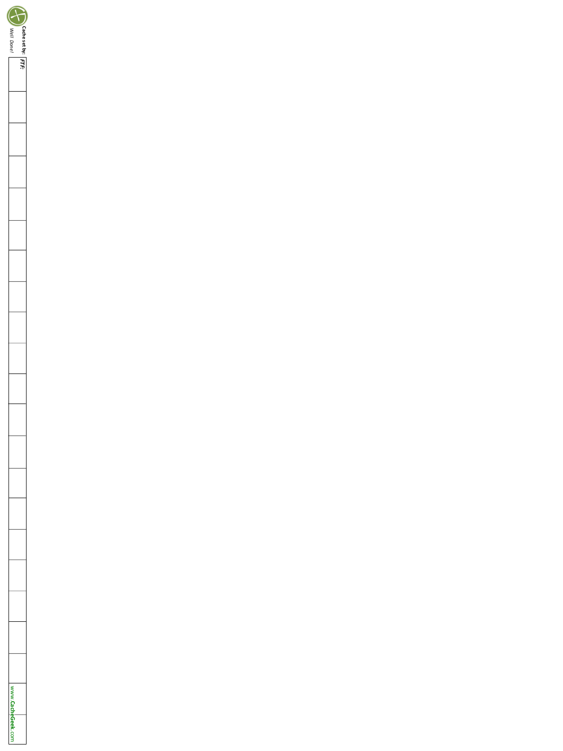